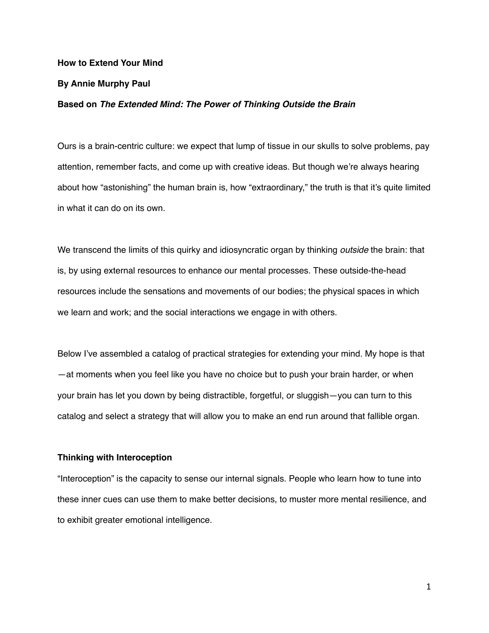### **How to Extend Your Mind**

#### **By Annie Murphy Paul**

### **Based on** *The Extended Mind: The Power of Thinking Outside the Brain*

Ours is a brain-centric culture: we expect that lump of tissue in our skulls to solve problems, pay attention, remember facts, and come up with creative ideas. But though we're always hearing about how "astonishing" the human brain is, how "extraordinary," the truth is that it's quite limited in what it can do on its own.

We transcend the limits of this quirky and idiosyncratic organ by thinking *outside* the brain: that is, by using external resources to enhance our mental processes. These outside-the-head resources include the sensations and movements of our bodies; the physical spaces in which we learn and work; and the social interactions we engage in with others.

Below I've assembled a catalog of practical strategies for extending your mind. My hope is that —at moments when you feel like you have no choice but to push your brain harder, or when your brain has let you down by being distractible, forgetful, or sluggish—you can turn to this catalog and select a strategy that will allow you to make an end run around that fallible organ.

## **Thinking with Interoception**

"Interoception" is the capacity to sense our internal signals. People who learn how to tune into these inner cues can use them to make better decisions, to muster more mental resilience, and to exhibit greater emotional intelligence.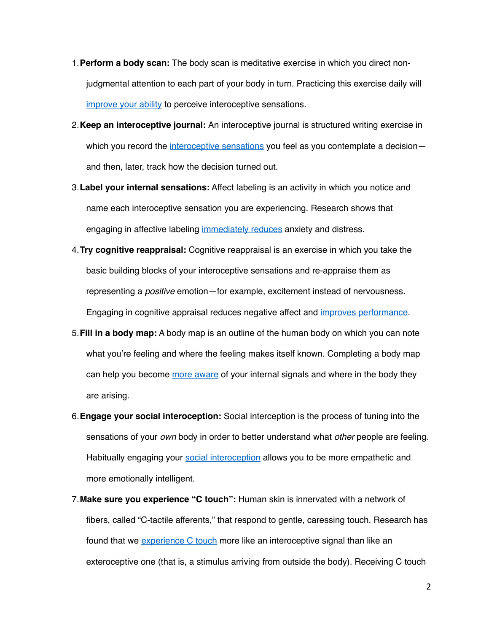- 1.**Perform a body scan:** The body scan is meditative exercise in which you direct nonjudgmental attention to each part of your body in turn. Practicing this exercise daily will [improve your ability](https://pubmed.ncbi.nlm.nih.gov/28955213/) to perceive interoceptive sensations.
- 2.**Keep an interoceptive journal:** An interoceptive journal is structured writing exercise in which you record the [interoceptive sensations](http://oro.open.ac.uk/35099/http:/oro.open.ac.uk/35099/) you feel as you contemplate a decisionand then, later, track how the decision turned out.
- 3.**Label your internal sensations:** Affect labeling is an activity in which you notice and name each interoceptive sensation you are experiencing. Research shows that engaging in affective labeling [immediately reduces](https://pubmed.ncbi.nlm.nih.gov/21534661/) anxiety and distress.
- 4.**Try cognitive reappraisal:** Cognitive reappraisal is an exercise in which you take the basic building blocks of your interoceptive sensations and re-appraise them as representing a *positive* emotion—for example, excitement instead of nervousness. Engaging in cognitive appraisal reduces negative affect and [improves performance.](https://pubmed.ncbi.nlm.nih.gov/20161454/)
- 5.**Fill in a body map:** A body map is an outline of the human body on which you can note what you're feeling and where the feeling makes itself known. Completing a body map can help you become [more aware](https://www.pnas.org/content/111/2/646) of your internal signals and where in the body they are arising.
- 6.**Engage your social interoception:** Social interception is the process of tuning into the sensations of your *own* body in order to better understand what *other* people are feeling. Habitually engaging your [social interoception](https://www.ncbi.nlm.nih.gov/pmc/articles/PMC6901918/) allows you to be more empathetic and more emotionally intelligent.
- 7.**Make sure you experience "C touch":** Human skin is innervated with a network of fibers, called "C-tactile afferents," that respond to gentle, caressing touch. Research has found that we *experience C* touch more like an interoceptive signal than like an exteroceptive one (that is, a stimulus arriving from outside the body). Receiving C touch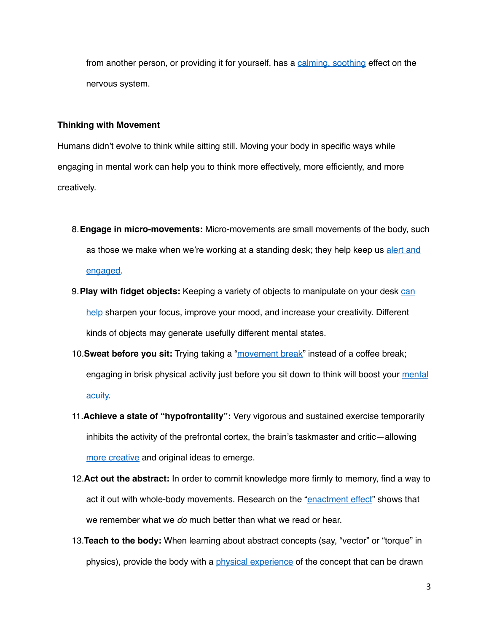from another person, or providing it for yourself, has a [calming, soothing](https://www.jneurosci.org/content/34/8/2879) effect on the nervous system.

## **Thinking with Movement**

Humans didn't evolve to think while sitting still. Moving your body in specific ways while engaging in mental work can help you to think more effectively, more efficiently, and more creatively.

- 8.**Engage in micro-movements:** Micro-movements are small movements of the body, such as those we make when we're working at a standing desk; they help keep us alert and [engaged.](https://pubmed.ncbi.nlm.nih.gov/26703700/)
- 9.**Play with fidget objects:** Keeping a variety of objects to manipulate on your desk [can](https://dl.acm.org/doi/10.1145/2971485.2971557)  [help](https://dl.acm.org/doi/10.1145/2971485.2971557) sharpen your focus, improve your mood, and increase your creativity. Different kinds of objects may generate usefully different mental states.
- 10.**Sweat before you sit:** Trying taking a ["movement break](https://pubmed.ncbi.nlm.nih.gov/16376711/)" instead of a coffee break; engaging in brisk physical activity just before you sit down to think will boost your [mental](https://www.sciencedirect.com/science/article/abs/pii/S1469029218301870)  [acuity.](https://www.sciencedirect.com/science/article/abs/pii/S1469029218301870)
- 11.**Achieve a state of "hypofrontality":** Very vigorous and sustained exercise temporarily inhibits the activity of the prefrontal cortex, the brain's taskmaster and critic—allowing [more creative](https://pubmed.ncbi.nlm.nih.gov/17081621/) and original ideas to emerge.
- 12.**Act out the abstract:** In order to commit knowledge more firmly to memory, find a way to act it out with whole-body movements. Research on the "[enactment effect](https://psycnet.apa.org/record/2000-00111-009)" shows that we remember what we *do* much better than what we read or hear.
- 13.**Teach to the body:** When learning about abstract concepts (say, "vector" or "torque" in physics), provide the body with a [physical experience](https://journals.sagepub.com/doi/abs/10.1177/0956797615569355) of the concept that can be drawn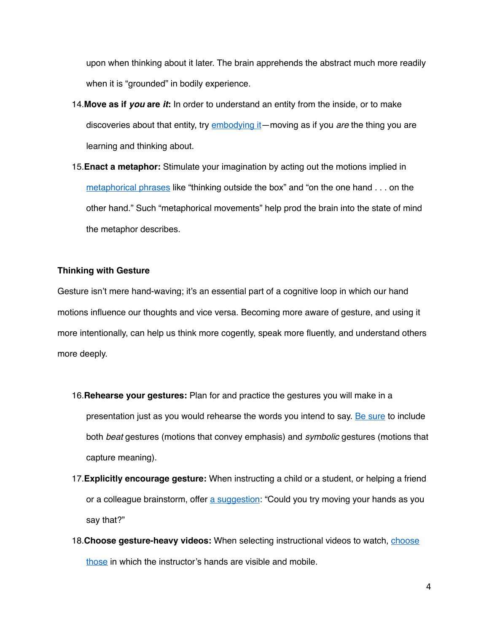upon when thinking about it later. The brain apprehends the abstract much more readily when it is "grounded" in bodily experience.

- 14.**Move as if** *you* **are** *it***:** In order to understand an entity from the inside, or to make discoveries about that entity, try [embodying it](https://ccl.northwestern.edu/2012/youre-it.pdf)—moving as if you *are* the thing you are learning and thinking about.
- 15.**Enact a metaphor:** Stimulate your imagination by acting out the motions implied in [metaphorical phrases](https://journals.sagepub.com/doi/abs/10.1177/0956797611429801) like "thinking outside the box" and "on the one hand . . . on the other hand." Such "metaphorical movements" help prod the brain into the state of mind the metaphor describes.

# **Thinking with Gesture**

Gesture isn't mere hand-waving; it's an essential part of a cognitive loop in which our hand motions influence our thoughts and vice versa. Becoming more aware of gesture, and using it more intentionally, can help us think more cogently, speak more fluently, and understand others more deeply.

- 16.**Rehearse your gestures:** Plan for and practice the gestures you will make in a presentation just as you would rehearse the words you intend to say. [Be sure](https://hbr.org/2019/05/when-you-pitch-an-idea-gestures-matter-more-than-words) to include both *beat* gestures (motions that convey emphasis) and *symbolic* gestures (motions that capture meaning).
- 17.**Explicitly encourage gesture:** When instructing a child or a student, or helping a friend or a colleague brainstorm, offer [a suggestion:](https://www.hup.harvard.edu/catalog.php?isbn=9780674018372) "Could you try moving your hands as you say that?"
- 18.**Choose gesture-heavy videos:** When selecting instructional videos to watch, [choose](https://www.ncbi.nlm.nih.gov/pmc/articles/PMC5780541/)  [those](https://www.ncbi.nlm.nih.gov/pmc/articles/PMC5780541/) in which the instructor's hands are visible and mobile.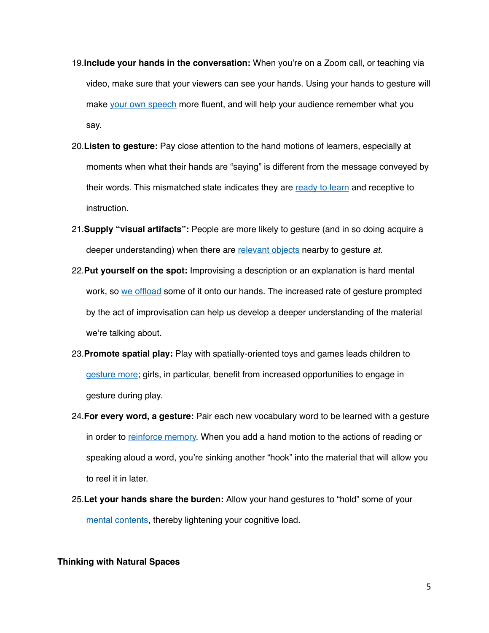- 19.**Include your hands in the conversation:** When you're on a Zoom call, or teaching via video, make sure that your viewers can see your hands. Using your hands to gesture will make [your own speech](https://onlinelibrary.wiley.com/doi/abs/10.1111/jcal.12397) more fluent, and will help your audience remember what you say.
- 20.**Listen to gesture:** Pay close attention to the hand motions of learners, especially at moments when what their hands are "saying" is different from the message conveyed by their words. This mismatched state indicates they are [ready to learn](https://www.sciencedirect.com/science/article/abs/pii/0010027786900533) and receptive to instruction.
- 21.**Supply "visual artifacts":** People are more likely to gesture (and in so doing acquire a deeper understanding) when there are [relevant objects](https://journals.sagepub.com/doi/10.3102/00346543071003365) nearby to gesture *at*.
- 22.**Put yourself on the spot:** Improvising a description or an explanation is hard mental work, so [we offload](https://www.sciencedirect.com/science/article/abs/pii/S1871187115300134) some of it onto our hands. The increased rate of gesture prompted by the act of improvisation can help us develop a deeper understanding of the material we're talking about.
- 23.**Promote spatial play:** Play with spatially-oriented toys and games leads children to [gesture more;](https://psycnet.apa.org/record/2006-20488-022) girls, in particular, benefit from increased opportunities to engage in gesture during play.
- 24.**For every word, a gesture:** Pair each new vocabulary word to be learned with a gesture in order to [reinforce memory.](https://www.frontiersin.org/articles/10.3389/fpsyg.2014.01467/full) When you add a hand motion to the actions of reading or speaking aloud a word, you're sinking another "hook" into the material that will allow you to reel it in later.
- 25.**Let your hands share the burden:** Allow your hand gestures to "hold" some of your [mental contents,](https://pubmed.ncbi.nlm.nih.gov/21564226/) thereby lightening your cognitive load.

### **Thinking with Natural Spaces**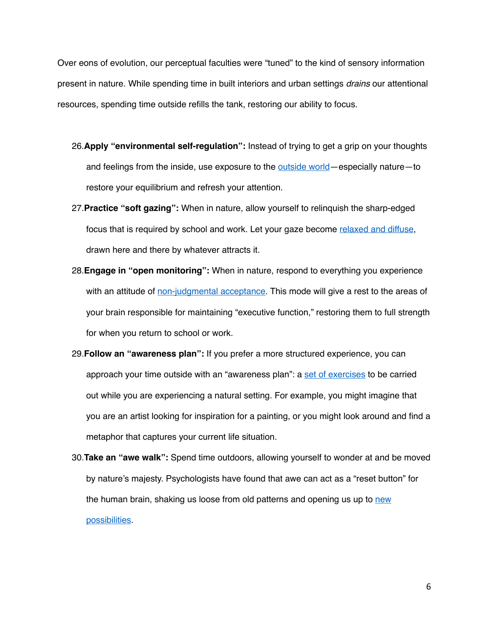Over eons of evolution, our perceptual faculties were "tuned" to the kind of sensory information present in nature. While spending time in built interiors and urban settings *drains* our attentional resources, spending time outside refills the tank, restoring our ability to focus.

- 26.**Apply "environmental self-regulation":** Instead of trying to get a grip on your thoughts and feelings from the inside, use exposure to the **outside world—especially nature—to** restore your equilibrium and refresh your attention.
- 27.**Practice "soft gazing":** When in nature, allow yourself to relinquish the sharp-edged focus that is required by school and work. Let your gaze become [relaxed and diffuse](https://edrl.berkeley.edu/wp-content/uploads/2019/06/Morgan.Abrahamson.2018JOCI.workshop-report.pdf), drawn here and there by whatever attracts it.
- 28.**Engage in "open monitoring":** When in nature, respond to everything you experience with an attitude of [non-judgmental acceptance](https://pubmed.ncbi.nlm.nih.gov/29438869/). This mode will give a rest to the areas of your brain responsible for maintaining "executive function," restoring them to full strength for when you return to school or work.
- 29.**Follow an "awareness plan":** If you prefer a more structured experience, you can approach your time outside with an "awareness plan": a [set of exercises](https://www.sciencedirect.com/science/article/abs/pii/S0272494410000836) to be carried out while you are experiencing a natural setting. For example, you might imagine that you are an artist looking for inspiration for a painting, or you might look around and find a metaphor that captures your current life situation.
- 30.**Take an "awe walk":** Spend time outdoors, allowing yourself to wonder at and be moved by nature's majesty. Psychologists have found that awe can act as a "reset button" for the human brain, shaking us loose from old patterns and opening us up to new [possibilities](https://pubmed.ncbi.nlm.nih.gov/29715721/).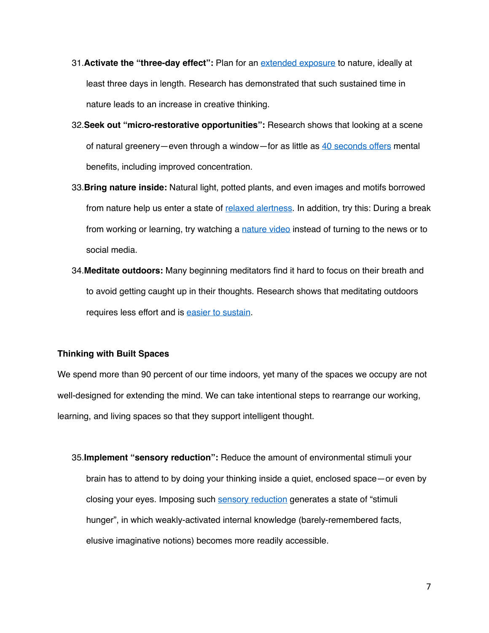- 31.**Activate the "three-day effect":** Plan for an [extended exposure](https://www.liebertpub.com/doi/abs/10.1089/eco.2014.0043?journalCode=eco) to nature, ideally at least three days in length. Research has demonstrated that such sustained time in nature leads to an increase in creative thinking.
- 32.**Seek out "micro-restorative opportunities":** Research shows that looking at a scene of natural greenery—even through a window—for as little as [40 seconds offers](https://www.sciencedirect.com/science/article/abs/pii/S0272494415000328) mental benefits, including improved concentration.
- 33.**Bring nature inside:** Natural light, potted plants, and even images and motifs borrowed from nature help us enter a state of [relaxed alertness](https://www.sciencedirect.com/science/article/abs/pii/S0272494410001027). In addition, try this: During a break from working or learning, try watching a [nature video](https://www.ncbi.nlm.nih.gov/pmc/articles/PMC3699874/) instead of turning to the news or to social media.
- 34.**Meditate outdoors:** Many beginning meditators find it hard to focus on their breath and to avoid getting caught up in their thoughts. Research shows that meditating outdoors requires less effort and is easier to sustain.

# **Thinking with Built Spaces**

We spend more than 90 percent of our time indoors, yet many of the spaces we occupy are not well-designed for extending the mind. We can take intentional steps to rearrange our working, learning, and living spaces so that they support intelligent thought.

35.**Implement "sensory reduction":** Reduce the amount of environmental stimuli your brain has to attend to by doing your thinking inside a quiet, enclosed space—or even by closing your eyes. Imposing such [sensory reduction](https://www.tandfonline.com/doi/abs/10.1080/09658211.2017.1282519?journalCode=pmem20) generates a state of "stimuli hunger", in which weakly-activated internal knowledge (barely-remembered facts, elusive imaginative notions) becomes more readily accessible.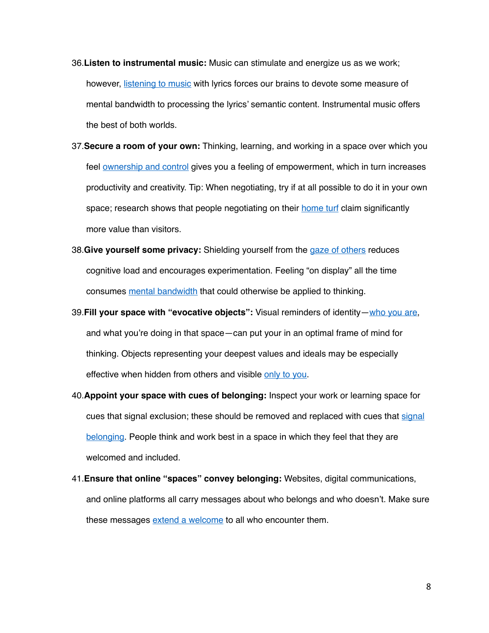- 36.**Listen to instrumental music:** Music can stimulate and energize us as we work; however, [listening to music](https://psycnet.apa.org/record/2019-03876-001) with lyrics forces our brains to devote some measure of mental bandwidth to processing the lyrics' semantic content. Instrumental music offers the best of both worlds.
- 37.**Secure a room of your own:** Thinking, learning, and working in a space over which you feel **[ownership and control](https://pubmed.ncbi.nlm.nih.gov/20191407/)** gives you a feeling of empowerment, which in turn increases productivity and creativity. Tip: When negotiating, try if at all possible to do it in your own space; research shows that people negotiating on their [home turf](https://psycnet.apa.org/record/2011-01542-011) claim significantly more value than visitors.
- 38.**Give yourself some privacy:** Shielding yourself from the [gaze of others](https://journals.sagepub.com/doi/abs/10.1177/0001839212453028) reduces cognitive load and encourages experimentation. Feeling "on display" all the time consumes [mental bandwidth](https://pubmed.ncbi.nlm.nih.gov/15796665/) that could otherwise be applied to thinking.
- 39.**Fill your space with "evocative objects":** Visual reminders of identity—[who you are,](https://psycnet.apa.org/record/2016-18500-005) and what you're doing in that space—can put your in an optimal frame of mind for thinking. Objects representing your deepest values and ideals may be especially effective when hidden from others and visible [only to you](https://journals.aom.org/doi/abs/10.5465/amj.2012.0932).
- 40.**Appoint your space with cues of belonging:** Inspect your work or learning space for cues that [signal](https://pubmed.ncbi.nlm.nih.gov/19968418/) exclusion; these should be removed and replaced with cues that signal [belonging.](https://pubmed.ncbi.nlm.nih.gov/19968418/) People think and work best in a space in which they feel that they are welcomed and included.
- 41.**Ensure that online "spaces" convey belonging:** Websites, digital communications, and online platforms all carry messages about who belongs and who doesn't. Make sure these messages [extend a welcome](https://rene.kizilcec.com/wp-content/uploads/2019/05/kizilcec2019pid.pdf) to all who encounter them.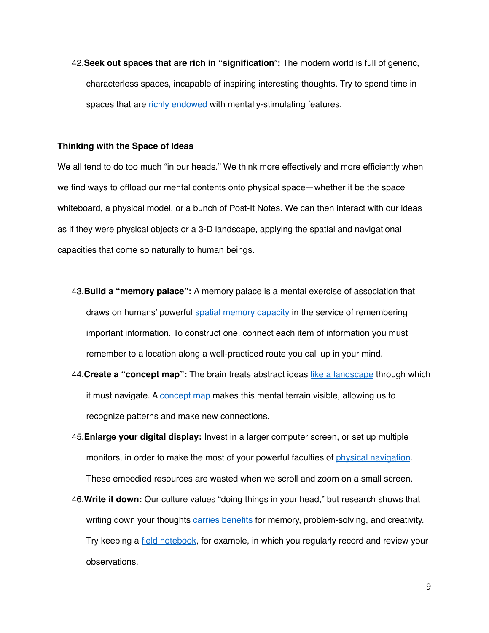42.**Seek out spaces that are rich in "signification**"**:** The modern world is full of generic, characterless spaces, incapable of inspiring interesting thoughts. Try to spend time in spaces that are [richly endowed](https://scholar.lib.vt.edu/ejournals/SPT/v10n3/coyne.html) with mentally-stimulating features.

### **Thinking with the Space of Ideas**

We all tend to do too much "in our heads." We think more effectively and more efficiently when we find ways to offload our mental contents onto physical space—whether it be the space whiteboard, a physical model, or a bunch of Post-It Notes. We can then interact with our ideas as if they were physical objects or a 3-D landscape, applying the spatial and navigational capacities that come so naturally to human beings.

- 43.**Build a "memory palace":** A memory palace is a mental exercise of association that draws on humans' powerful [spatial memory capacity](https://www.nature.com/articles/nn988) in the service of remembering important information. To construct one, connect each item of information you must remember to a location along a well-practiced route you call up in your mind.
- 44.**Create a "concept map":** The brain treats abstract ideas [like a landscape](https://www.nature.com/articles/nn.4656) through which it must navigate. A [concept map](https://ctl.byu.edu/tip/concept-mapping) makes this mental terrain visible, allowing us to recognize patterns and make new connections.
- 45.**Enlarge your digital display:** Invest in a larger computer screen, or set up multiple monitors, in order to make the most of your powerful faculties of [physical navigation.](https://www.sciencedirect.com/science/article/abs/pii/S009784930700060X) These embodied resources are wasted when we scroll and zoom on a small screen.
- 46.**Write it down:** Our culture values "doing things in your head," but research shows that writing down your thoughts [carries benefits](https://psycnet.apa.org/record/2000-02169-005) for memory, problem-solving, and creativity. Try keeping a [field notebook,](https://www.hup.harvard.edu/catalog.php?isbn=9780674057579) for example, in which you regularly record and review your observations.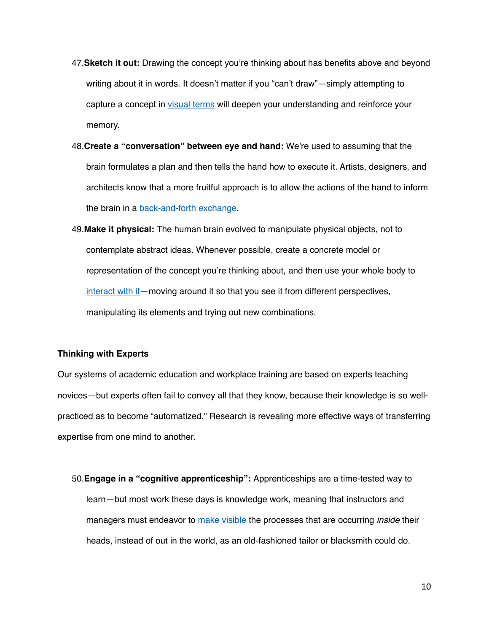- 47.**Sketch it out:** Drawing the concept you're thinking about has benefits above and beyond writing about it in words. It doesn't matter if you "can't draw"—simply attempting to capture a concept in [visual terms](https://cognitiveresearchjournal.springeropen.com/articles/10.1186/s41235-016-0031-6) will deepen your understanding and reinforce your memory.
- 48.**Create a "conversation" between eye and hand:** We're used to assuming that the brain formulates a plan and then tells the hand how to execute it. Artists, designers, and architects know that a more fruitful approach is to allow the actions of the hand to inform the brain in a [back-and-forth exchange](http://home.fa.utl.pt/~franc/de1/ext01/ggbacktalk.pdf).
- 49.**Make it physical:** The human brain evolved to manipulate physical objects, not to contemplate abstract ideas. Whenever possible, create a concrete model or representation of the concept you're thinking about, and then use your whole body to [interact with it](https://dl.acm.org/doi/abs/10.1145/2442106.2442109)—moving around it so that you see it from different perspectives, manipulating its elements and trying out new combinations.

## **Thinking with Experts**

Our systems of academic education and workplace training are based on experts teaching novices—but experts often fail to convey all that they know, because their knowledge is so wellpracticed as to become "automatized." Research is revealing more effective ways of transferring expertise from one mind to another.

50.**Engage in a "cognitive apprenticeship":** Apprenticeships are a time-tested way to learn—but most work these days is knowledge work, meaning that instructors and managers must endeavor to [make visible](https://www.aft.org/ae/winter1991/collins_brown_holum) the processes that are occurring *inside* their heads, instead of out in the world, as an old-fashioned tailor or blacksmith could do.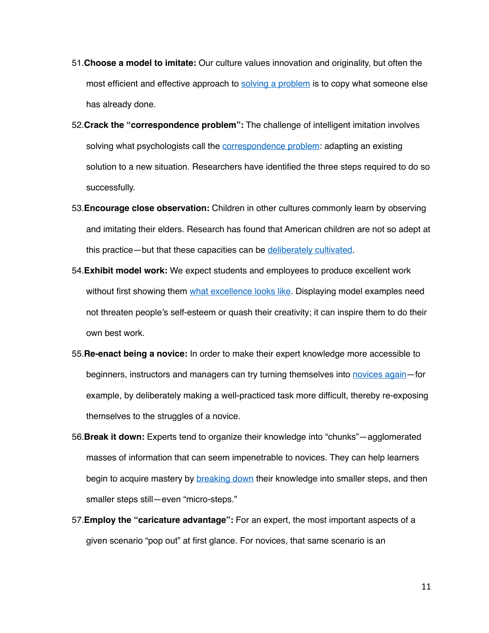- 51.**Choose a model to imitate:** Our culture values innovation and originality, but often the most efficient and effective approach to [solving a problem](https://hbr.org/2010/04/defend-your-research-imitation-is-more-valuable-than-innovation) is to copy what someone else has already done.
- 52.**Crack the "correspondence problem":** The challenge of intelligent imitation involves solving what psychologists call the [correspondence problem](https://psycnet.apa.org/record/2002-17428-002): adapting an existing solution to a new situation. Researchers have identified the three steps required to do so successfully.
- 53.**Encourage close observation:** Children in other cultures commonly learn by observing and imitating their elders. Research has found that American children are not so adept at this practice—but that these capacities can be [deliberately cultivated](https://pubmed.ncbi.nlm.nih.gov/19413421/).
- 54.**Exhibit model work:** We expect students and employees to produce excellent work without first showing them [what excellence looks like](https://www.edutopia.org/blog/deeper-learning-student-work-ron-berger). Displaying model examples need not threaten people's self-esteem or quash their creativity; it can inspire them to do their own best work.
- 55.**Re-enact being a novice:** In order to make their expert knowledge more accessible to beginners, instructors and managers can try turning themselves into [novices again](https://journals.aom.org/doi/abs/10.5465/ambpp.2015.15215abstract)—for example, by deliberately making a well-practiced task more difficult, thereby re-exposing themselves to the struggles of a novice.
- 56.**Break it down:** Experts tend to organize their knowledge into "chunks"—agglomerated masses of information that can seem impenetrable to novices. They can help learners begin to acquire mastery by [breaking down](https://www.bloomsbury.com/us/the-myth-of-ability-9780802719256/) their knowledge into smaller steps, and then smaller steps still—even "micro-steps."
- 57.**Employ the "caricature advantage":** For an expert, the most important aspects of a given scenario "pop out" at first glance. For novices, that same scenario is an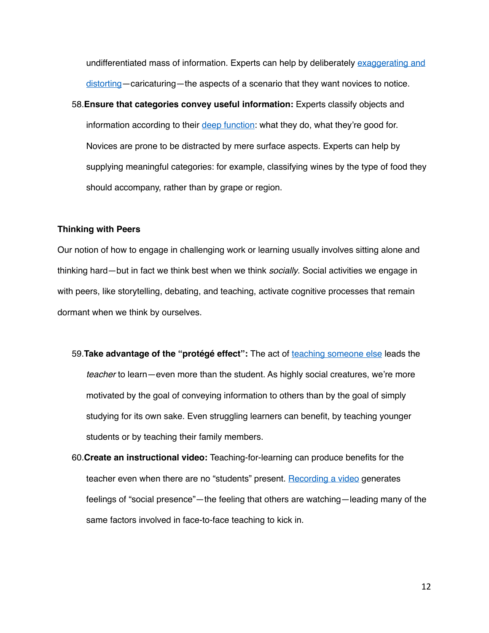undifferentiated mass of information. Experts can help by deliberately [exaggerating and](https://www.sciencedirect.com/science/article/abs/pii/0010028587900168)  [distorting—](https://www.sciencedirect.com/science/article/abs/pii/0010028587900168)caricaturing—the aspects of a scenario that they want novices to notice.

58.**Ensure that categories convey useful information:** Experts classify objects and information according to their [deep function:](https://onlinelibrary.wiley.com/doi/abs/10.1207/s15516709cog0502_2) what they do, what they're good for. Novices are prone to be distracted by mere surface aspects. Experts can help by supplying meaningful categories: for example, classifying wines by the type of food they should accompany, rather than by grape or region.

## **Thinking with Peers**

Our notion of how to engage in challenging work or learning usually involves sitting alone and thinking hard—but in fact we think best when we think *socially*. Social activities we engage in with peers, like storytelling, debating, and teaching, activate cognitive processes that remain dormant when we think by ourselves.

- 59.**Take advantage of the "protégé effect":** The act of [teaching someone else](https://www.sciencedirect.com/science/article/abs/pii/S0361476X13000209) leads the *teacher* to learn—even more than the student. As highly social creatures, we're more motivated by the goal of conveying information to others than by the goal of simply studying for its own sake. Even struggling learners can benefit, by teaching younger students or by teaching their family members.
- 60.**Create an instructional video:** Teaching-for-learning can produce benefits for the teacher even when there are no "students" present. [Recording a video](https://www.sciencedirect.com/science/article/abs/pii/S0959475219301161) generates feelings of "social presence"—the feeling that others are watching—leading many of the same factors involved in face-to-face teaching to kick in.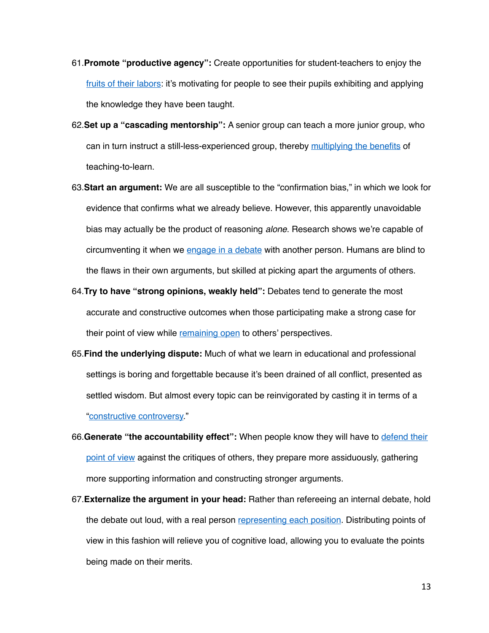- 61.**Promote "productive agency":** Create opportunities for student-teachers to enjoy the [fruits of their labors:](https://psycnet.apa.org/record/2013-27120-003) it's motivating for people to see their pupils exhibiting and applying the knowledge they have been taught.
- 62.**Set up a "cascading mentorship":** A senior group can teach a more junior group, who can in turn instruct a still-less-experienced group, thereby [multiplying the benefits](https://pubmed.ncbi.nlm.nih.gov/23887013/) of teaching-to-learn.
- 63.**Start an argument:** We are all susceptible to the "confirmation bias," in which we look for evidence that confirms what we already believe. However, this apparently unavoidable bias may actually be the product of reasoning *alone*. Research shows we're capable of circumventing it when we [engage in a debate](https://www.sciencedirect.com/science/article/abs/pii/S1364661316300973) with another person. Humans are blind to the flaws in their own arguments, but skilled at picking apart the arguments of others.
- 64.**Try to have "strong opinions, weakly held":** Debates tend to generate the most accurate and constructive outcomes when those participating make a strong case for their point of view while [remaining open](https://www.gsb.stanford.edu/faculty-research/books/good-boss-bad-boss-how-be-best-learn-worst) to others' perspectives.
- 65.**Find the underlying dispute:** Much of what we learn in educational and professional settings is boring and forgettable because it's been drained of all conflict, presented as settled wisdom. But almost every topic can be reinvigorated by casting it in terms of a "[constructive controversy.](https://www.tandfonline.com/doi/abs/10.1080/00091380009602706?journalCode=vchn20)"
- 66.**Generate "the accountability effect":** When people know they will have to [defend their](https://psycnet.apa.org/record/1984-06714-001)  [point of view](https://psycnet.apa.org/record/1984-06714-001) against the critiques of others, they prepare more assiduously, gathering more supporting information and constructing stronger arguments.
- 67.**Externalize the argument in your head:** Rather than refereeing an internal debate, hold the debate out loud, with a real person [representing each position](https://link.springer.com/chapter/10.1007/978-0-387-98125-3_4). Distributing points of view in this fashion will relieve you of cognitive load, allowing you to evaluate the points being made on their merits.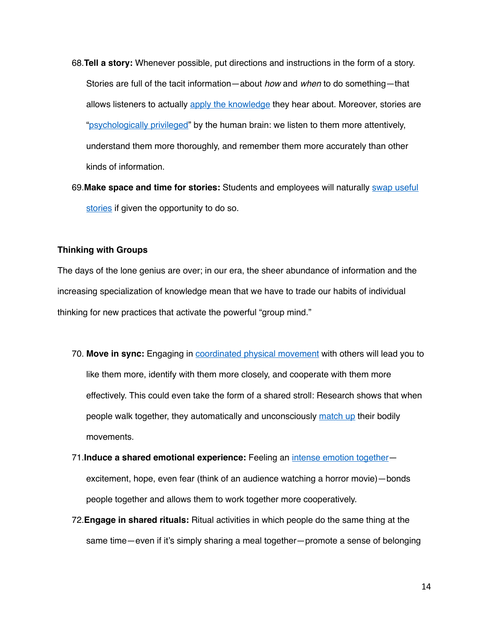- 68.**Tell a story:** Whenever possible, put directions and instructions in the form of a story. Stories are full of the tacit information—about *how* and *when* to do something—that allows listeners to actually [apply the knowledge](https://journals.aom.org/doi/abs/10.5465/amr.2016.0202) they hear about. Moreover, stories are "[psychologically privileged"](https://www.aft.org/periodical/american-educator/summer-2004/ask-cognitive-scientist) by the human brain: we listen to them more attentively, understand them more thoroughly, and remember them more accurately than other kinds of information.
- 69.**Make space and time for stories:** Students and employees will naturally [swap useful](https://journals.aom.org/doi/abs/10.5465/amj.2018.0875?download=true&journalCode=amj)  [stories](https://journals.aom.org/doi/abs/10.5465/amj.2018.0875?download=true&journalCode=amj) if given the opportunity to do so.

## **Thinking with Groups**

The days of the lone genius are over; in our era, the sheer abundance of information and the increasing specialization of knowledge mean that we have to trade our habits of individual thinking for new practices that activate the powerful "group mind."

- 70. **Move in sync:** Engaging in [coordinated physical movement](https://onlinelibrary.wiley.com/doi/abs/10.1111/j.1751-9004.2012.00450.x#:~:text=Humans%2520use%2520behavioral%2520synchrony%2520to,scale%2520social%2520coordination%2520and%2520cohesion.) with others will lead you to like them more, identify with them more closely, and cooperate with them more effectively. This could even take the form of a shared stroll: Research shows that when people walk together, they automatically and unconsciously [match up](https://pubmed.ncbi.nlm.nih.gov/28481583/) their bodily movements.
- 71.**Induce a shared emotional experience:** Feeling an [intense emotion together](https://pubmed.ncbi.nlm.nih.gov/31400052/) excitement, hope, even fear (think of an audience watching a horror movie)—bonds people together and allows them to work together more cooperatively.
- 72.**Engage in shared rituals:** Ritual activities in which people do the same thing at the same time—even if it's simply sharing a meal together—promote a sense of belonging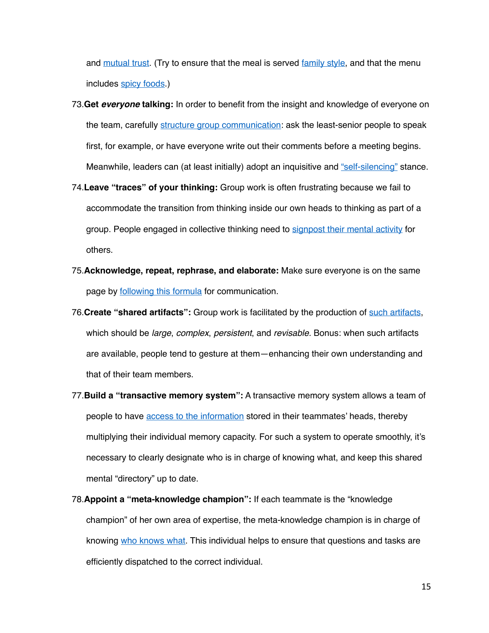and [mutual trust.](https://static1.squarespace.com/static/53485734e4b0fffc0dcc64c2/t/54735002e4b087a17999499e/1416843266236/legare-wen-ISSBD-2014.pdf) (Try to ensure that the meal is served [family style](https://www.sciencedirect.com/science/article/abs/pii/S1057740816300481), and that the menu includes [spicy foods](https://journals.sagepub.com/doi/abs/10.1177/0956797614545886).)

- 73.**Get** *everyone* **talking:** In order to benefit from the insight and knowledge of everyone on the team, carefully [structure group communication:](https://store.hbr.org/product/wiser-getting-beyond-groupthink-to-make-groups-smarter/2299) ask the least-senior people to speak first, for example, or have everyone write out their comments before a meeting begins. Meanwhile, leaders can (at least initially) adopt an inquisitive and ["self-silencing"](https://store.hbr.org/product/wiser-getting-beyond-groupthink-to-make-groups-smarter/2299) stance.
- 74.**Leave "traces" of your thinking:** Group work is often frustrating because we fail to accommodate the transition from thinking inside our own heads to thinking as part of a group. People engaged in collective thinking need to [signpost their mental activity](https://possibility.com/Misc/p339-teasley.pdf) for others.
- 75.**Acknowledge, repeat, rephrase, and elaborate:** Make sure everyone is on the same page by [following this formula](https://www.tandfonline.com/doi/abs/10.1080/09658211.2015.1042884) for communication.
- 76.**Create "shared artifacts":** Group work is facilitated by the production of [such artifacts](https://www.ics.uci.edu/~corps/phaseii/OlsonOlson-DistanceMatters-HCIJ.pdf), which should be *large*, *complex*, *persistent*, and *revisable.* Bonus: when such artifacts are available, people tend to gesture at them—enhancing their own understanding and that of their team members.
- 77.**Build a "transactive memory system":** A transactive memory system allows a team of people to have [access to the information](https://link.springer.com/chapter/10.1007/978-1-4612-4634-3_9) stored in their teammates' heads, thereby multiplying their individual memory capacity. For such a system to operate smoothly, it's necessary to clearly designate who is in charge of knowing what, and keep this shared mental "directory" up to date.
- 78.**Appoint a "meta-knowledge champion":** If each teammate is the "knowledge champion" of her own area of expertise, the meta-knowledge champion is in charge of knowing [who knows what](https://journals.aom.org/doi/10.5465/amj.2012.0589). This individual helps to ensure that questions and tasks are efficiently dispatched to the correct individual.